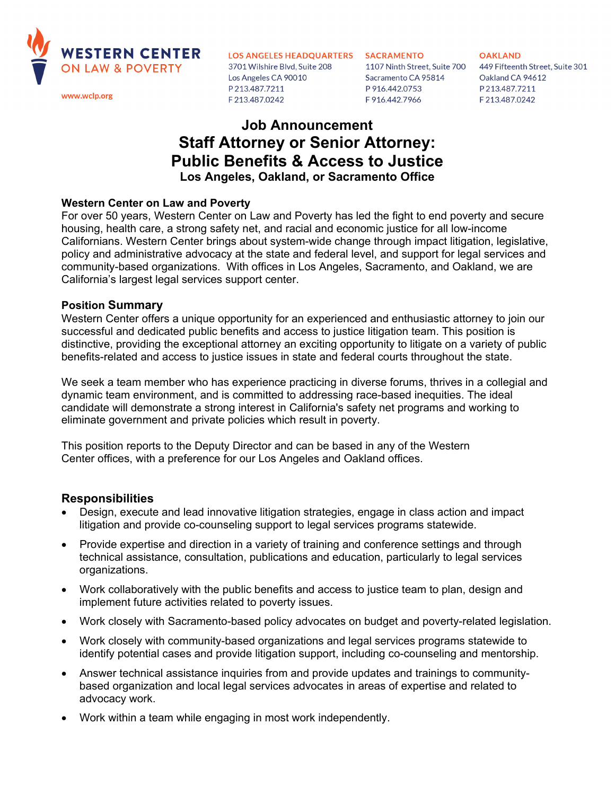

www.wclp.org

Los Angeles CA 90010 P213.487.7211 F213.487.0242

Sacramento CA 95814 P 916.442.0753 F916.442.7966

**OAKLAND** 3701 Wilshire Blvd, Suite 208 1107 Ninth Street, Suite 700 449 Fifteenth Street, Suite 301 Oakland CA 94612 P213.487.7211 F213.487.0242

# **Job Announcement Staff Attorney or Senior Attorney: Public Benefits & Access to Justice Los Angeles, Oakland, or Sacramento Office**

#### **Western Center on Law and Poverty**

For over 50 years, Western Center on Law and Poverty has led the fight to end poverty and secure housing, health care, a strong safety net, and racial and economic justice for all low-income Californians. Western Center brings about system-wide change through impact litigation, legislative, policy and administrative advocacy at the state and federal level, and support for legal services and community-based organizations. With offices in Los Angeles, Sacramento, and Oakland, we are California's largest legal services support center.

#### **Position Summary**

Western Center offers a unique opportunity for an experienced and enthusiastic attorney to join our successful and dedicated public benefits and access to justice litigation team. This position is distinctive, providing the exceptional attorney an exciting opportunity to litigate on a variety of public benefits-related and access to justice issues in state and federal courts throughout the state.

We seek a team member who has experience practicing in diverse forums, thrives in a collegial and dynamic team environment, and is committed to addressing race-based inequities. The ideal candidate will demonstrate a strong interest in California's safety net programs and working to eliminate government and private policies which result in poverty.

This position reports to the Deputy Director and can be based in any of the Western Center offices, with a preference for our Los Angeles and Oakland offices.

#### **Responsibilities**

- Design, execute and lead innovative litigation strategies, engage in class action and impact litigation and provide co-counseling support to legal services programs statewide.
- Provide expertise and direction in a variety of training and conference settings and through technical assistance, consultation, publications and education, particularly to legal services organizations.
- Work collaboratively with the public benefits and access to justice team to plan, design and implement future activities related to poverty issues.
- Work closely with Sacramento-based policy advocates on budget and poverty-related legislation.
- Work closely with community-based organizations and legal services programs statewide to identify potential cases and provide litigation support, including co-counseling and mentorship.
- Answer technical assistance inquiries from and provide updates and trainings to communitybased organization and local legal services advocates in areas of expertise and related to advocacy work.
- Work within a team while engaging in most work independently.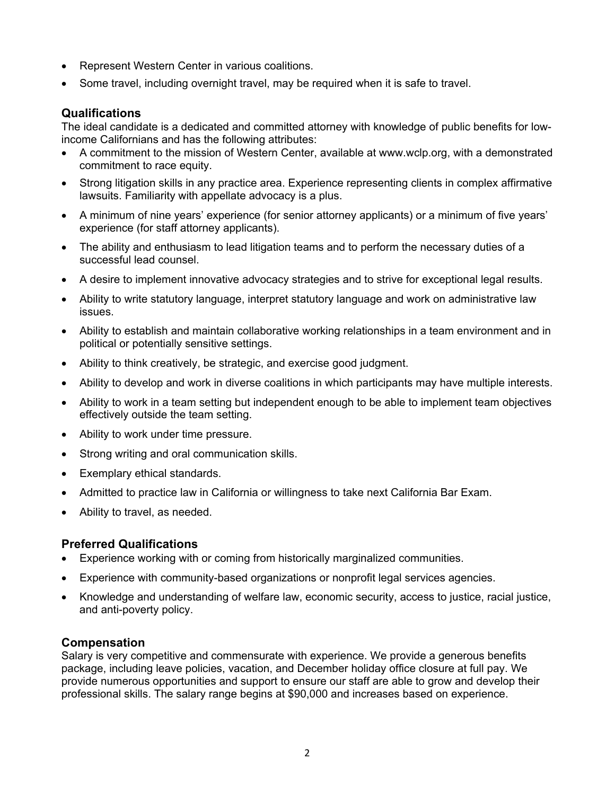- Represent Western Center in various coalitions.
- Some travel, including overnight travel, may be required when it is safe to travel.

## **Qualifications**

The ideal candidate is a dedicated and committed attorney with knowledge of public benefits for lowincome Californians and has the following attributes:

- A commitment to the mission of Western Center, available at www.wclp.org, with a demonstrated commitment to race equity.
- Strong litigation skills in any practice area. Experience representing clients in complex affirmative lawsuits. Familiarity with appellate advocacy is a plus.
- A minimum of nine years' experience (for senior attorney applicants) or a minimum of five years' experience (for staff attorney applicants).
- The ability and enthusiasm to lead litigation teams and to perform the necessary duties of a successful lead counsel.
- A desire to implement innovative advocacy strategies and to strive for exceptional legal results.
- Ability to write statutory language, interpret statutory language and work on administrative law issues.
- Ability to establish and maintain collaborative working relationships in a team environment and in political or potentially sensitive settings.
- Ability to think creatively, be strategic, and exercise good judgment.
- Ability to develop and work in diverse coalitions in which participants may have multiple interests.
- Ability to work in a team setting but independent enough to be able to implement team objectives effectively outside the team setting.
- Ability to work under time pressure.
- Strong writing and oral communication skills.
- Exemplary ethical standards.
- Admitted to practice law in California or willingness to take next California Bar Exam.
- Ability to travel, as needed.

### **Preferred Qualifications**

- Experience working with or coming from historically marginalized communities.
- Experience with community-based organizations or nonprofit legal services agencies.
- Knowledge and understanding of welfare law, economic security, access to justice, racial justice, and anti-poverty policy.

### **Compensation**

Salary is very competitive and commensurate with experience. We provide a generous benefits package, including leave policies, vacation, and December holiday office closure at full pay. We provide numerous opportunities and support to ensure our staff are able to grow and develop their professional skills. The salary range begins at \$90,000 and increases based on experience.